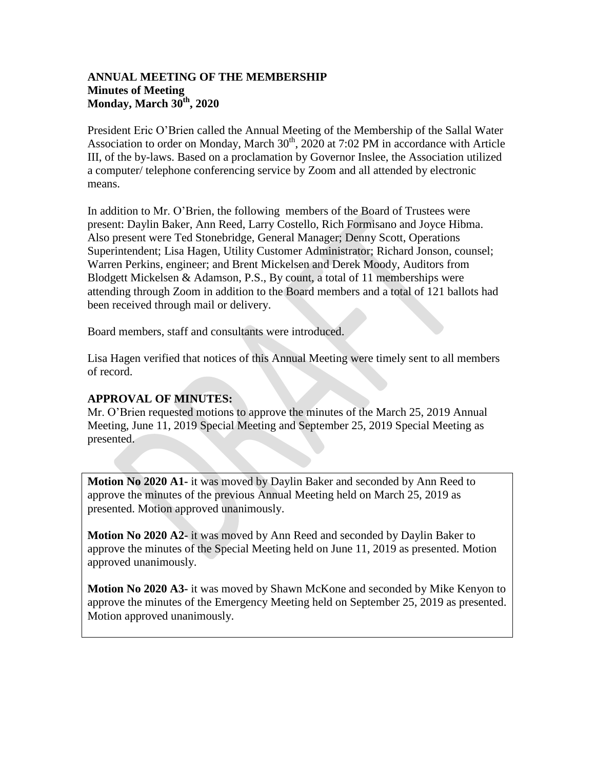# **ANNUAL MEETING OF THE MEMBERSHIP Minutes of Meeting Monday, March 30th, 2020**

President Eric O'Brien called the Annual Meeting of the Membership of the Sallal Water Association to order on Monday, March  $30<sup>th</sup>$ , 2020 at 7:02 PM in accordance with Article III, of the by-laws. Based on a proclamation by Governor Inslee, the Association utilized a computer/ telephone conferencing service by Zoom and all attended by electronic means.

In addition to Mr. O'Brien, the following members of the Board of Trustees were present: Daylin Baker, Ann Reed, Larry Costello, Rich Formisano and Joyce Hibma. Also present were Ted Stonebridge, General Manager; Denny Scott, Operations Superintendent; Lisa Hagen, Utility Customer Administrator; Richard Jonson, counsel; Warren Perkins, engineer; and Brent Mickelsen and Derek Moody, Auditors from Blodgett Mickelsen & Adamson, P.S., By count, a total of 11 memberships were attending through Zoom in addition to the Board members and a total of 121 ballots had been received through mail or delivery.

Board members, staff and consultants were introduced.

Lisa Hagen verified that notices of this Annual Meeting were timely sent to all members of record.

# **APPROVAL OF MINUTES:**

Mr. O'Brien requested motions to approve the minutes of the March 25, 2019 Annual Meeting, June 11, 2019 Special Meeting and September 25, 2019 Special Meeting as presented.

**Motion No 2020 A1-** it was moved by Daylin Baker and seconded by Ann Reed to approve the minutes of the previous Annual Meeting held on March 25, 2019 as presented. Motion approved unanimously.

**Motion No 2020 A2-** it was moved by Ann Reed and seconded by Daylin Baker to approve the minutes of the Special Meeting held on June 11, 2019 as presented. Motion approved unanimously.

**Motion No 2020 A3-** it was moved by Shawn McKone and seconded by Mike Kenyon to approve the minutes of the Emergency Meeting held on September 25, 2019 as presented. Motion approved unanimously.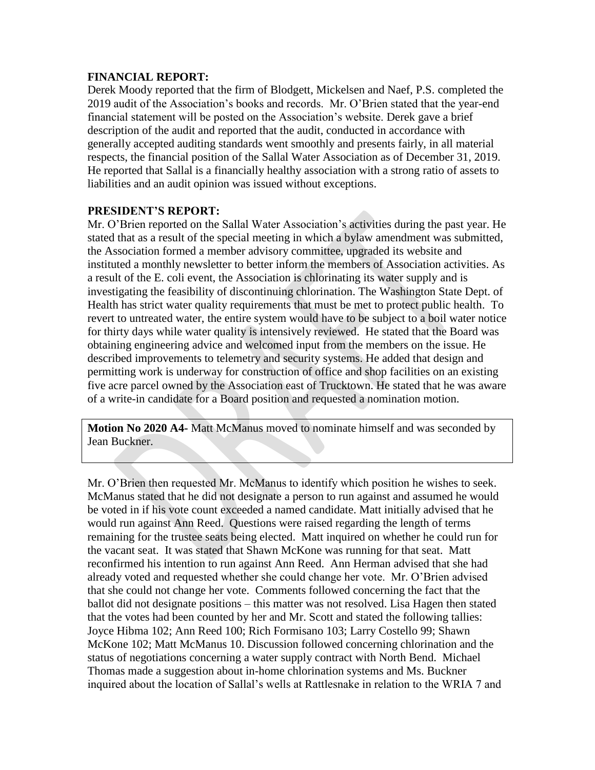## **FINANCIAL REPORT:**

Derek Moody reported that the firm of Blodgett, Mickelsen and Naef, P.S. completed the 2019 audit of the Association's books and records. Mr. O'Brien stated that the year-end financial statement will be posted on the Association's website. Derek gave a brief description of the audit and reported that the audit, conducted in accordance with generally accepted auditing standards went smoothly and presents fairly, in all material respects, the financial position of the Sallal Water Association as of December 31, 2019. He reported that Sallal is a financially healthy association with a strong ratio of assets to liabilities and an audit opinion was issued without exceptions.

# **PRESIDENT'S REPORT:**

Mr. O'Brien reported on the Sallal Water Association's activities during the past year. He stated that as a result of the special meeting in which a bylaw amendment was submitted, the Association formed a member advisory committee, upgraded its website and instituted a monthly newsletter to better inform the members of Association activities. As a result of the E. coli event, the Association is chlorinating its water supply and is investigating the feasibility of discontinuing chlorination. The Washington State Dept. of Health has strict water quality requirements that must be met to protect public health. To revert to untreated water, the entire system would have to be subject to a boil water notice for thirty days while water quality is intensively reviewed. He stated that the Board was obtaining engineering advice and welcomed input from the members on the issue. He described improvements to telemetry and security systems. He added that design and permitting work is underway for construction of office and shop facilities on an existing five acre parcel owned by the Association east of Trucktown. He stated that he was aware of a write-in candidate for a Board position and requested a nomination motion.

**Motion No 2020 A4-** Matt McManus moved to nominate himself and was seconded by Jean Buckner.

Mr. O'Brien then requested Mr. McManus to identify which position he wishes to seek. McManus stated that he did not designate a person to run against and assumed he would be voted in if his vote count exceeded a named candidate. Matt initially advised that he would run against Ann Reed. Questions were raised regarding the length of terms remaining for the trustee seats being elected. Matt inquired on whether he could run for the vacant seat. It was stated that Shawn McKone was running for that seat. Matt reconfirmed his intention to run against Ann Reed. Ann Herman advised that she had already voted and requested whether she could change her vote. Mr. O'Brien advised that she could not change her vote. Comments followed concerning the fact that the ballot did not designate positions – this matter was not resolved. Lisa Hagen then stated that the votes had been counted by her and Mr. Scott and stated the following tallies: Joyce Hibma 102; Ann Reed 100; Rich Formisano 103; Larry Costello 99; Shawn McKone 102; Matt McManus 10. Discussion followed concerning chlorination and the status of negotiations concerning a water supply contract with North Bend. Michael Thomas made a suggestion about in-home chlorination systems and Ms. Buckner inquired about the location of Sallal's wells at Rattlesnake in relation to the WRIA 7 and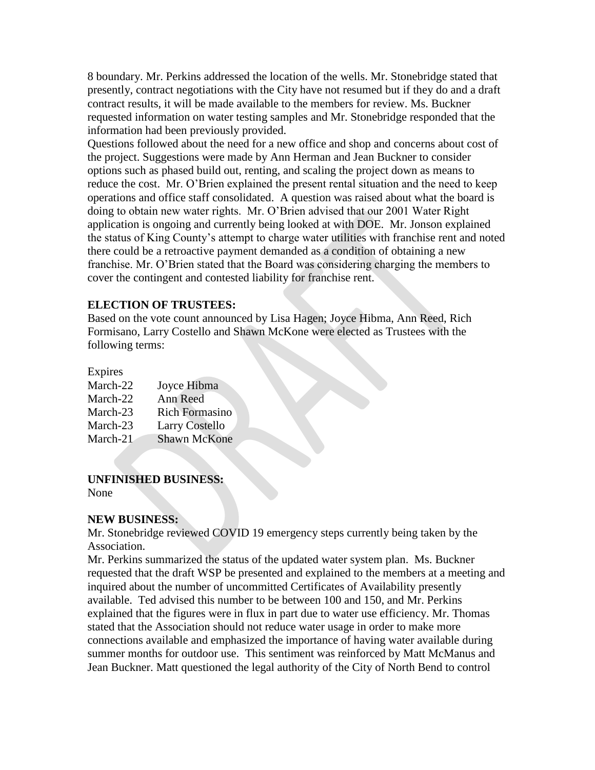8 boundary. Mr. Perkins addressed the location of the wells. Mr. Stonebridge stated that presently, contract negotiations with the City have not resumed but if they do and a draft contract results, it will be made available to the members for review. Ms. Buckner requested information on water testing samples and Mr. Stonebridge responded that the information had been previously provided.

Questions followed about the need for a new office and shop and concerns about cost of the project. Suggestions were made by Ann Herman and Jean Buckner to consider options such as phased build out, renting, and scaling the project down as means to reduce the cost. Mr. O'Brien explained the present rental situation and the need to keep operations and office staff consolidated. A question was raised about what the board is doing to obtain new water rights. Mr. O'Brien advised that our 2001 Water Right application is ongoing and currently being looked at with DOE. Mr. Jonson explained the status of King County's attempt to charge water utilities with franchise rent and noted there could be a retroactive payment demanded as a condition of obtaining a new franchise. Mr. O'Brien stated that the Board was considering charging the members to cover the contingent and contested liability for franchise rent.

### **ELECTION OF TRUSTEES:**

Based on the vote count announced by Lisa Hagen; Joyce Hibma, Ann Reed, Rich Formisano, Larry Costello and Shawn McKone were elected as Trustees with the following terms:

#### Expires

| March-22 | Joyce Hibma           |
|----------|-----------------------|
| March-22 | Ann Reed              |
| March-23 | <b>Rich Formasino</b> |
| March-23 | <b>Larry Costello</b> |
| March-21 | <b>Shawn McKone</b>   |

### **UNFINISHED BUSINESS:**

None

### **NEW BUSINESS:**

Mr. Stonebridge reviewed COVID 19 emergency steps currently being taken by the Association.

Mr. Perkins summarized the status of the updated water system plan. Ms. Buckner requested that the draft WSP be presented and explained to the members at a meeting and inquired about the number of uncommitted Certificates of Availability presently available. Ted advised this number to be between 100 and 150, and Mr. Perkins explained that the figures were in flux in part due to water use efficiency. Mr. Thomas stated that the Association should not reduce water usage in order to make more connections available and emphasized the importance of having water available during summer months for outdoor use. This sentiment was reinforced by Matt McManus and Jean Buckner. Matt questioned the legal authority of the City of North Bend to control